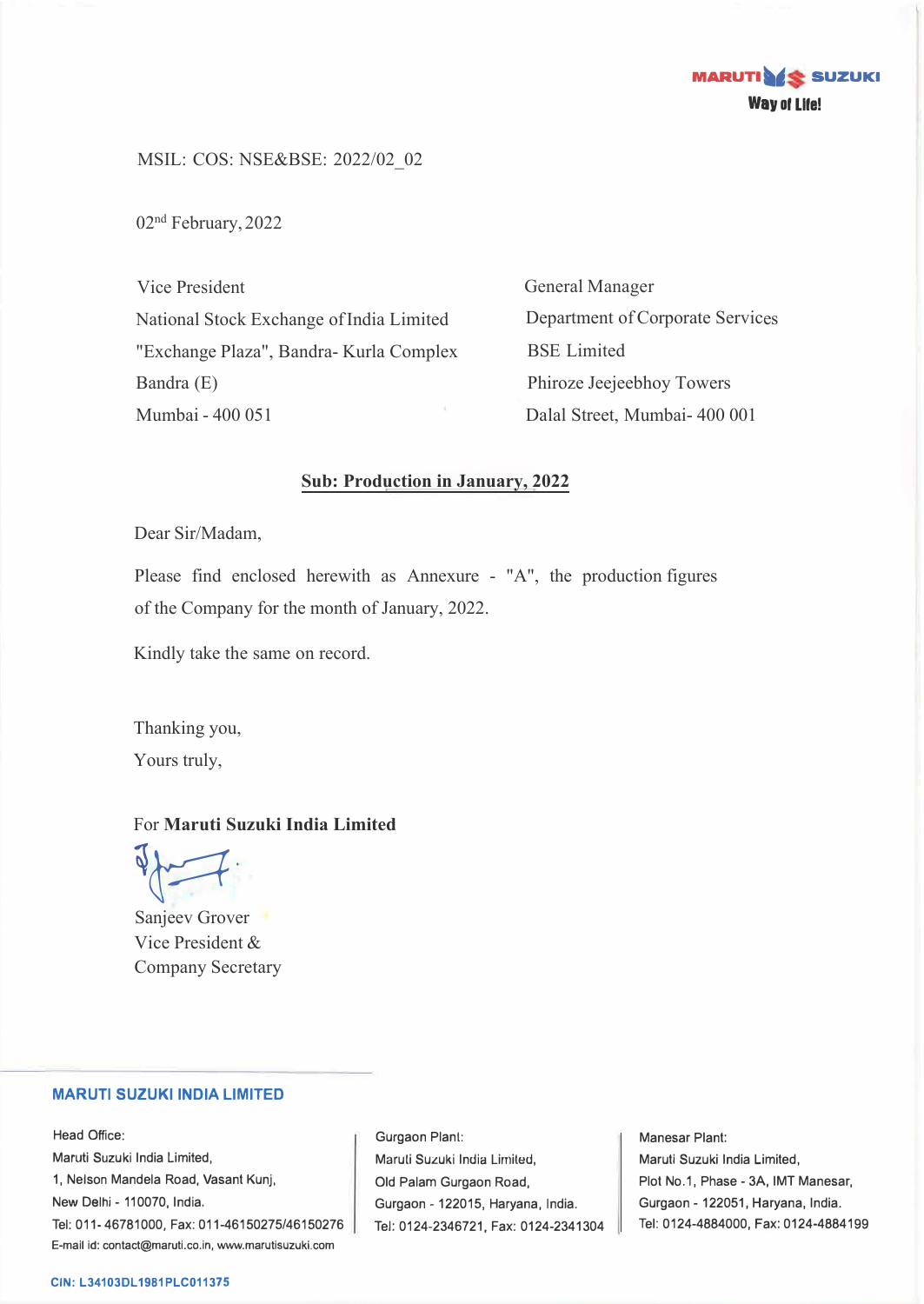

MSIL: COS: NSE&BSE: 2022/02\_02

02<sup>nd</sup> February, 2022

Vice President National Stock Exchange of India Limited "Exchange Plaza", Bandra- Kurla Complex Bandra (E) Mumbai - 400 051

General Manager Department of Corporate Services BSE Limited Phiroze Jeejeebhoy Towers Dalal Street, Mumbai- 400 001

## **Sub: Production in January, 2022**

Dear Sir/Madam,

Please find enclosed herewith as Annexure - "A", the production figures of the Company for the month of January, 2022.

Kindly take the same on record.

Thanking you, Yours truly,

## For **Maruti Suzuki India Limited**

 $\sqrt{2}$ 

Sanjeev Grover Vice President & Company Secretary

### **MARUTI SUZUKI INDIA LIMITED**

Head Office: Maruti Suzuki India Limited, 1, Nelson Mandela Road, Vasant Kunj, New Delhi - 110070, India. Tel: 011-46781000, Fax: 011-46150275/46150276 E-mail id: contact@maruti.co.in, www.marutisuzuki.com

Gurgaon Plant: Maruli Suzuki India Lirniled, Old Palam Gurgaon Road, Gurgaon - 122015, Haryana, India. Tel: 0124-2346721, Fax: 0124-2341304

Manesar Plant: Maruti Suzuki India Limited, Plot No.1, Phase - 3A, IMT Manesar, Gurgaon - 122051, Haryana, India. Tel: 0124-4884000, Fax: 0124-4884199

#### **CIN: L34103DL1981PLC011375**